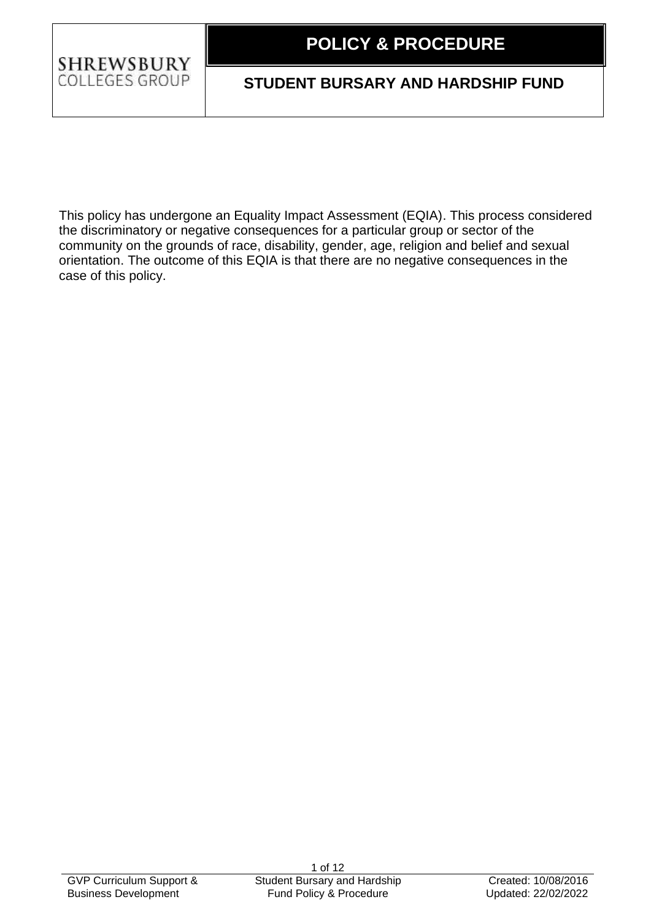#### **1.1 POLICY & PROCEDURE**

## **SHREWSBURY** COLLEGES GROUP

# **STUDENT BURSARY AND HARDSHIP FUND**

This policy has undergone an Equality Impact Assessment (EQIA). This process considered the discriminatory or negative consequences for a particular group or sector of the community on the grounds of race, disability, gender, age, religion and belief and sexual orientation. The outcome of this EQIA is that there are no negative consequences in the case of this policy.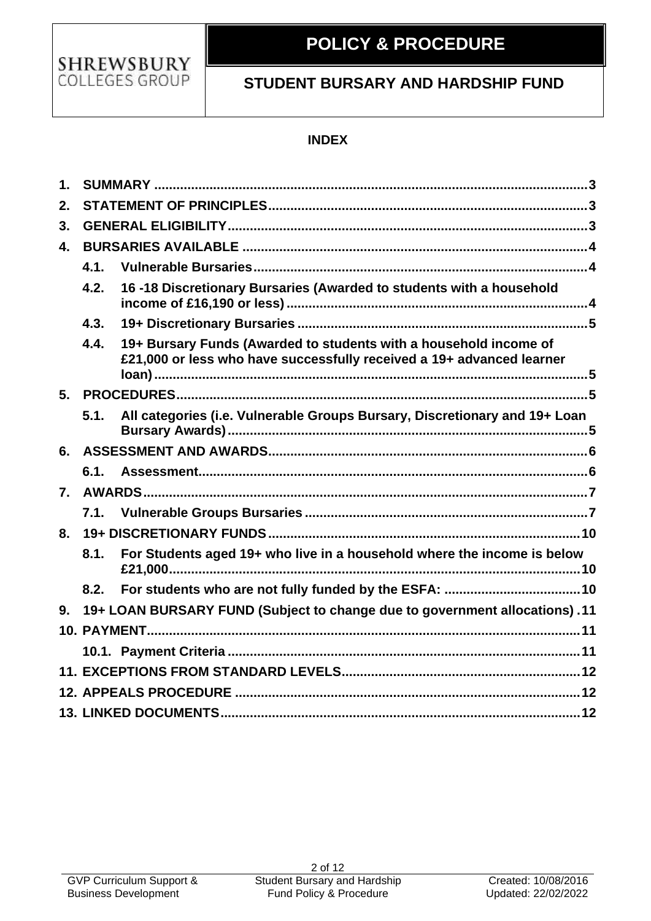

#### **1.1 POLICY & PROCEDURE**

# **STUDENT BURSARY AND HARDSHIP FUND**

## **INDEX**

| $\mathbf 1$      |                                                                                   |                                                                                                                                            |  |  |  |
|------------------|-----------------------------------------------------------------------------------|--------------------------------------------------------------------------------------------------------------------------------------------|--|--|--|
| 2.               |                                                                                   |                                                                                                                                            |  |  |  |
| 3.               |                                                                                   |                                                                                                                                            |  |  |  |
| 4.               |                                                                                   |                                                                                                                                            |  |  |  |
|                  | 4.1.                                                                              |                                                                                                                                            |  |  |  |
|                  | 4.2.                                                                              | 16-18 Discretionary Bursaries (Awarded to students with a household                                                                        |  |  |  |
|                  | 4.3.                                                                              |                                                                                                                                            |  |  |  |
|                  | 4.4.                                                                              | 19+ Bursary Funds (Awarded to students with a household income of<br>£21,000 or less who have successfully received a 19+ advanced learner |  |  |  |
| 5.               |                                                                                   |                                                                                                                                            |  |  |  |
|                  | 5.1.                                                                              | All categories (i.e. Vulnerable Groups Bursary, Discretionary and 19+ Loan                                                                 |  |  |  |
| 6.               |                                                                                   |                                                                                                                                            |  |  |  |
|                  | 6.1.                                                                              |                                                                                                                                            |  |  |  |
| $\overline{7}$ . |                                                                                   |                                                                                                                                            |  |  |  |
|                  | 7.1.                                                                              |                                                                                                                                            |  |  |  |
| 8.               |                                                                                   |                                                                                                                                            |  |  |  |
|                  | 8.1.                                                                              | For Students aged 19+ who live in a household where the income is below                                                                    |  |  |  |
|                  | 8.2.                                                                              |                                                                                                                                            |  |  |  |
| 9.               | 11. (10 - 10+ LOAN BURSARY FUND (Subject to change due to government allocations) |                                                                                                                                            |  |  |  |
|                  |                                                                                   |                                                                                                                                            |  |  |  |
|                  |                                                                                   |                                                                                                                                            |  |  |  |
|                  |                                                                                   |                                                                                                                                            |  |  |  |
|                  |                                                                                   |                                                                                                                                            |  |  |  |
|                  |                                                                                   |                                                                                                                                            |  |  |  |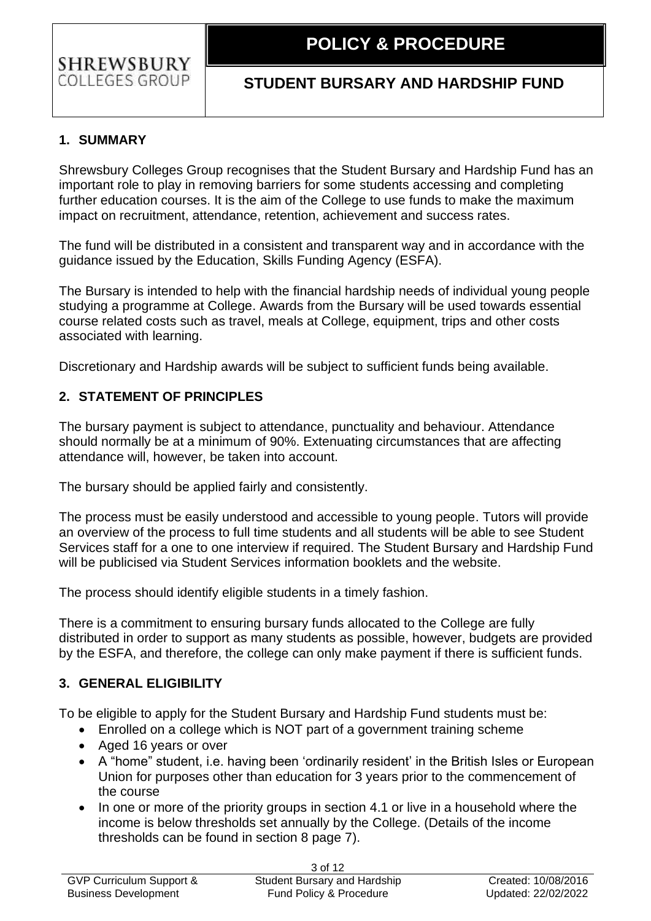## **STUDENT BURSARY AND HARDSHIP FUND**

## <span id="page-2-0"></span>**1. SUMMARY**

Shrewsbury Colleges Group recognises that the Student Bursary and Hardship Fund has an important role to play in removing barriers for some students accessing and completing further education courses. It is the aim of the College to use funds to make the maximum impact on recruitment, attendance, retention, achievement and success rates.

The fund will be distributed in a consistent and transparent way and in accordance with the guidance issued by the Education, Skills Funding Agency (ESFA).

The Bursary is intended to help with the financial hardship needs of individual young people studying a programme at College. Awards from the Bursary will be used towards essential course related costs such as travel, meals at College, equipment, trips and other costs associated with learning.

Discretionary and Hardship awards will be subject to sufficient funds being available.

## <span id="page-2-1"></span>**2. STATEMENT OF PRINCIPLES**

The bursary payment is subject to attendance, punctuality and behaviour. Attendance should normally be at a minimum of 90%. Extenuating circumstances that are affecting attendance will, however, be taken into account.

The bursary should be applied fairly and consistently.

The process must be easily understood and accessible to young people. Tutors will provide an overview of the process to full time students and all students will be able to see Student Services staff for a one to one interview if required. The Student Bursary and Hardship Fund will be publicised via Student Services information booklets and the website.

The process should identify eligible students in a timely fashion.

There is a commitment to ensuring bursary funds allocated to the College are fully distributed in order to support as many students as possible, however, budgets are provided by the ESFA, and therefore, the college can only make payment if there is sufficient funds.

## <span id="page-2-2"></span>**3. GENERAL ELIGIBILITY**

To be eligible to apply for the Student Bursary and Hardship Fund students must be:

- Enrolled on a college which is NOT part of a government training scheme
- Aged 16 years or over
- A "home" student, i.e. having been 'ordinarily resident' in the British Isles or European Union for purposes other than education for 3 years prior to the commencement of the course
- In one or more of the priority groups in section 4.1 or live in a household where the income is below thresholds set annually by the College. (Details of the income thresholds can be found in section 8 page 7).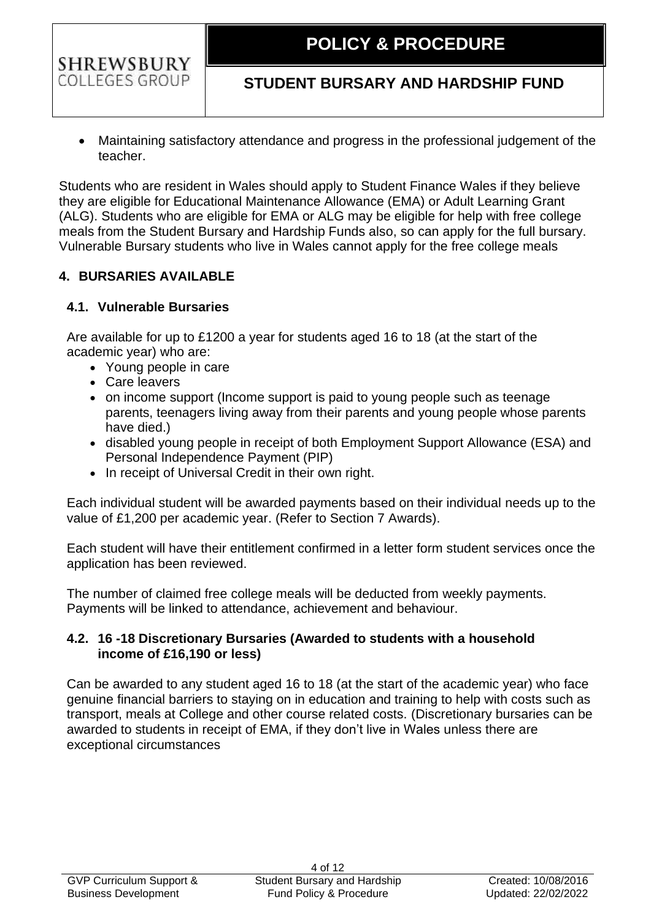# **STUDENT BURSARY AND HARDSHIP FUND**

• Maintaining satisfactory attendance and progress in the professional judgement of the teacher.

Students who are resident in Wales should apply to Student Finance Wales if they believe they are eligible for Educational Maintenance Allowance (EMA) or Adult Learning Grant (ALG). Students who are eligible for EMA or ALG may be eligible for help with free college meals from the Student Bursary and Hardship Funds also, so can apply for the full bursary. Vulnerable Bursary students who live in Wales cannot apply for the free college meals

## <span id="page-3-0"></span>**4. BURSARIES AVAILABLE**

## <span id="page-3-1"></span>**4.1. Vulnerable Bursaries**

Are available for up to £1200 a year for students aged 16 to 18 (at the start of the academic year) who are:

- Young people in care
- Care leavers
- on income support (Income support is paid to young people such as teenage parents, teenagers living away from their parents and young people whose parents have died.)
- disabled young people in receipt of both Employment Support Allowance (ESA) and Personal Independence Payment (PIP)
- In receipt of Universal Credit in their own right.

Each individual student will be awarded payments based on their individual needs up to the value of £1,200 per academic year. (Refer to Section 7 Awards).

Each student will have their entitlement confirmed in a letter form student services once the application has been reviewed.

The number of claimed free college meals will be deducted from weekly payments. Payments will be linked to attendance, achievement and behaviour.

### <span id="page-3-2"></span>**4.2. 16 -18 Discretionary Bursaries (Awarded to students with a household income of £16,190 or less)**

Can be awarded to any student aged 16 to 18 (at the start of the academic year) who face genuine financial barriers to staying on in education and training to help with costs such as transport, meals at College and other course related costs. (Discretionary bursaries can be awarded to students in receipt of EMA, if they don't live in Wales unless there are exceptional circumstances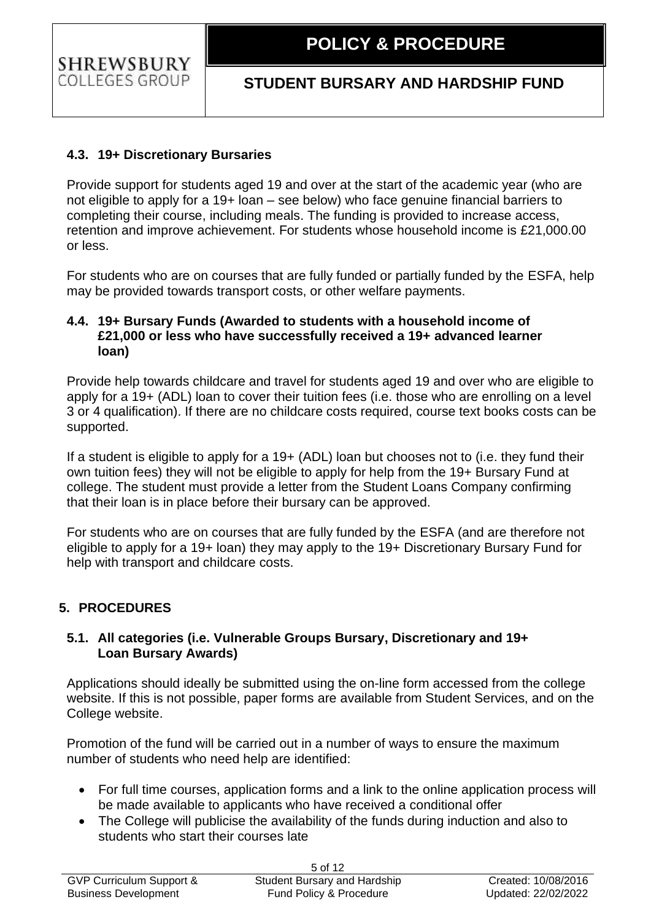## <span id="page-4-0"></span>**4.3. 19+ Discretionary Bursaries**

Provide support for students aged 19 and over at the start of the academic year (who are not eligible to apply for a 19+ loan – see below) who face genuine financial barriers to completing their course, including meals. The funding is provided to increase access, retention and improve achievement. For students whose household income is £21,000.00 or less.

For students who are on courses that are fully funded or partially funded by the ESFA, help may be provided towards transport costs, or other welfare payments.

#### <span id="page-4-1"></span>**4.4. 19+ Bursary Funds (Awarded to students with a household income of £21,000 or less who have successfully received a 19+ advanced learner loan)**

Provide help towards childcare and travel for students aged 19 and over who are eligible to apply for a 19+ (ADL) loan to cover their tuition fees (i.e. those who are enrolling on a level 3 or 4 qualification). If there are no childcare costs required, course text books costs can be supported.

If a student is eligible to apply for a 19+ (ADL) loan but chooses not to (i.e. they fund their own tuition fees) they will not be eligible to apply for help from the 19+ Bursary Fund at college. The student must provide a letter from the Student Loans Company confirming that their loan is in place before their bursary can be approved.

For students who are on courses that are fully funded by the ESFA (and are therefore not eligible to apply for a 19+ loan) they may apply to the 19+ Discretionary Bursary Fund for help with transport and childcare costs.

## <span id="page-4-2"></span>**5. PROCEDURES**

#### <span id="page-4-3"></span>**5.1. All categories (i.e. Vulnerable Groups Bursary, Discretionary and 19+ Loan Bursary Awards)**

Applications should ideally be submitted using the on-line form accessed from the college website. If this is not possible, paper forms are available from Student Services, and on the College website.

Promotion of the fund will be carried out in a number of ways to ensure the maximum number of students who need help are identified:

- For full time courses, application forms and a link to the online application process will be made available to applicants who have received a conditional offer
- The College will publicise the availability of the funds during induction and also to students who start their courses late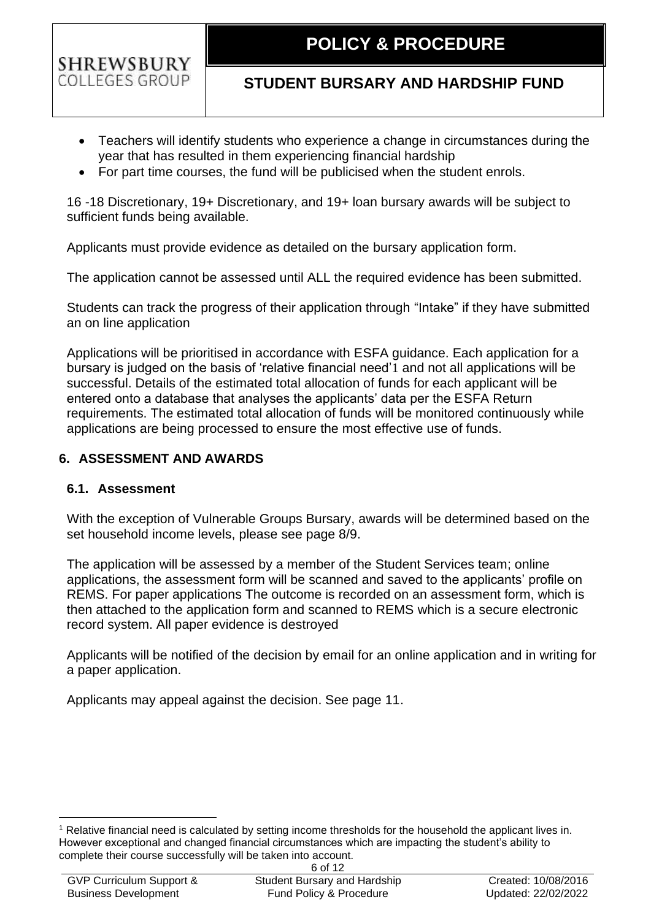## **STUDENT BURSARY AND HARDSHIP FUND**

- Teachers will identify students who experience a change in circumstances during the year that has resulted in them experiencing financial hardship
- For part time courses, the fund will be publicised when the student enrols.

16 -18 Discretionary, 19+ Discretionary, and 19+ loan bursary awards will be subject to sufficient funds being available.

Applicants must provide evidence as detailed on the bursary application form.

The application cannot be assessed until ALL the required evidence has been submitted.

Students can track the progress of their application through "Intake" if they have submitted an on line application

Applications will be prioritised in accordance with ESFA guidance. Each application for a bursary is judged on the basis of 'relative financial need'1 and not all applications will be successful. Details of the estimated total allocation of funds for each applicant will be entered onto a database that analyses the applicants' data per the ESFA Return requirements. The estimated total allocation of funds will be monitored continuously while applications are being processed to ensure the most effective use of funds.

## <span id="page-5-0"></span>**6. ASSESSMENT AND AWARDS**

### <span id="page-5-1"></span>**6.1. Assessment**

With the exception of Vulnerable Groups Bursary, awards will be determined based on the set household income levels, please see page 8/9.

The application will be assessed by a member of the Student Services team; online applications, the assessment form will be scanned and saved to the applicants' profile on REMS. For paper applications The outcome is recorded on an assessment form, which is then attached to the application form and scanned to REMS which is a secure electronic record system. All paper evidence is destroyed

Applicants will be notified of the decision by email for an online application and in writing for a paper application.

Applicants may appeal against the decision. See page 11.

<sup>1</sup> Relative financial need is calculated by setting income thresholds for the household the applicant lives in. However exceptional and changed financial circumstances which are impacting the student's ability to complete their course successfully will be taken into account.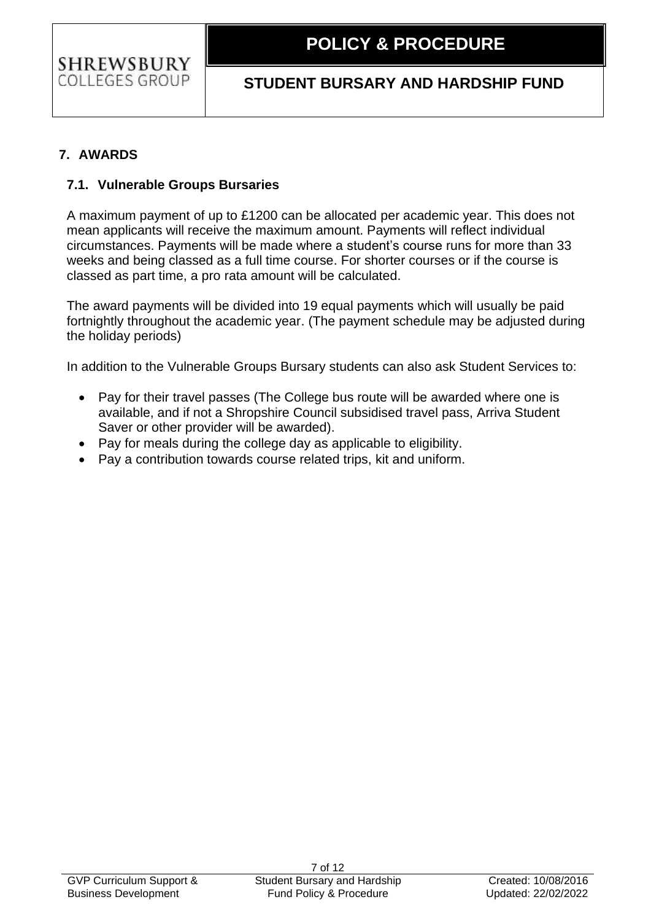# **STUDENT BURSARY AND HARDSHIP FUND**

## <span id="page-6-0"></span>**7. AWARDS**

## <span id="page-6-1"></span>**7.1. Vulnerable Groups Bursaries**

A maximum payment of up to £1200 can be allocated per academic year. This does not mean applicants will receive the maximum amount. Payments will reflect individual circumstances. Payments will be made where a student's course runs for more than 33 weeks and being classed as a full time course. For shorter courses or if the course is classed as part time, a pro rata amount will be calculated.

The award payments will be divided into 19 equal payments which will usually be paid fortnightly throughout the academic year. (The payment schedule may be adjusted during the holiday periods)

In addition to the Vulnerable Groups Bursary students can also ask Student Services to:

- Pay for their travel passes (The College bus route will be awarded where one is available, and if not a Shropshire Council subsidised travel pass, Arriva Student Saver or other provider will be awarded).
- Pay for meals during the college day as applicable to eligibility.
- Pay a contribution towards course related trips, kit and uniform.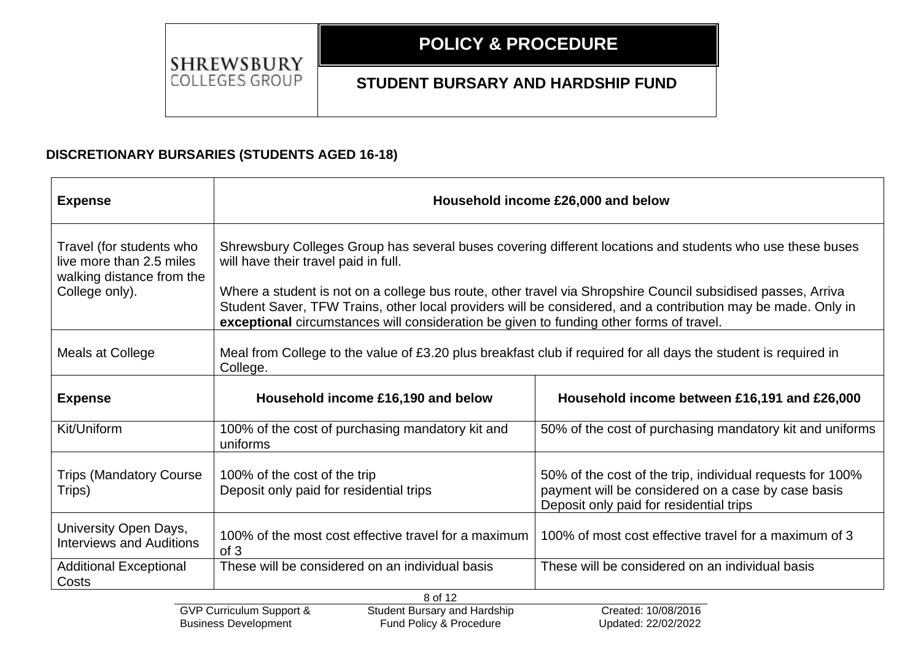**1.1 POLICY & PROCEDURE**

SHREWSBURY **COLLEGES GROUP** 

## **STUDENT BURSARY AND HARDSHIP FUND**

### **DISCRETIONARY BURSARIES (STUDENTS AGED 16-18)**

| <b>Expense</b>                                                                                      | Household income £26,000 and below                                                                                                                                                                                                                                                                                                                                                                                                                                           |                                                                                                                                                            |  |  |
|-----------------------------------------------------------------------------------------------------|------------------------------------------------------------------------------------------------------------------------------------------------------------------------------------------------------------------------------------------------------------------------------------------------------------------------------------------------------------------------------------------------------------------------------------------------------------------------------|------------------------------------------------------------------------------------------------------------------------------------------------------------|--|--|
| Travel (for students who<br>live more than 2.5 miles<br>walking distance from the<br>College only). | Shrewsbury Colleges Group has several buses covering different locations and students who use these buses<br>will have their travel paid in full.<br>Where a student is not on a college bus route, other travel via Shropshire Council subsidised passes, Arriva<br>Student Saver, TFW Trains, other local providers will be considered, and a contribution may be made. Only in<br>exceptional circumstances will consideration be given to funding other forms of travel. |                                                                                                                                                            |  |  |
| Meals at College                                                                                    | Meal from College to the value of £3.20 plus breakfast club if required for all days the student is required in<br>College.                                                                                                                                                                                                                                                                                                                                                  |                                                                                                                                                            |  |  |
| <b>Expense</b>                                                                                      | Household income £16,190 and below                                                                                                                                                                                                                                                                                                                                                                                                                                           | Household income between £16,191 and £26,000                                                                                                               |  |  |
| Kit/Uniform                                                                                         | 100% of the cost of purchasing mandatory kit and<br>uniforms                                                                                                                                                                                                                                                                                                                                                                                                                 | 50% of the cost of purchasing mandatory kit and uniforms                                                                                                   |  |  |
| <b>Trips (Mandatory Course)</b><br>Trips)                                                           | 100% of the cost of the trip<br>Deposit only paid for residential trips                                                                                                                                                                                                                                                                                                                                                                                                      | 50% of the cost of the trip, individual requests for 100%<br>payment will be considered on a case by case basis<br>Deposit only paid for residential trips |  |  |
| University Open Days,<br><b>Interviews and Auditions</b>                                            | 100% of the most cost effective travel for a maximum<br>of 3                                                                                                                                                                                                                                                                                                                                                                                                                 | 100% of most cost effective travel for a maximum of 3                                                                                                      |  |  |
| <b>Additional Exceptional</b><br>Costs                                                              | These will be considered on an individual basis                                                                                                                                                                                                                                                                                                                                                                                                                              | These will be considered on an individual basis                                                                                                            |  |  |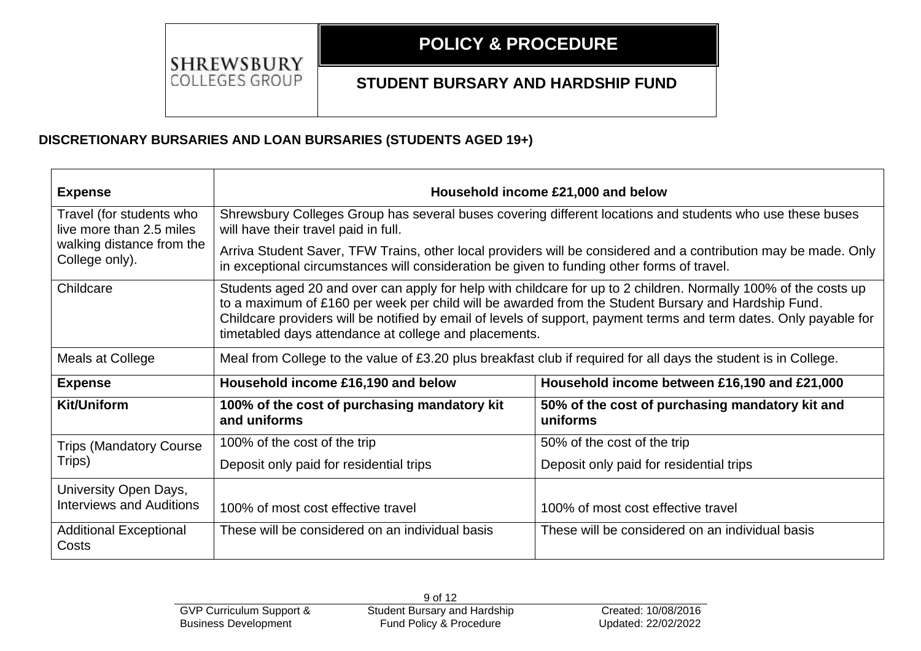#### **1.1 POLICY & PROCEDURE**

## **STUDENT BURSARY AND HARDSHIP FUND**

## **DISCRETIONARY BURSARIES AND LOAN BURSARIES (STUDENTS AGED 19+)**

| <b>Expense</b>                                           | Household income £21,000 and below                                                                                                                                                                                                                                                                                                                                                                    |                                                             |  |  |
|----------------------------------------------------------|-------------------------------------------------------------------------------------------------------------------------------------------------------------------------------------------------------------------------------------------------------------------------------------------------------------------------------------------------------------------------------------------------------|-------------------------------------------------------------|--|--|
| Travel (for students who<br>live more than 2.5 miles     | Shrewsbury Colleges Group has several buses covering different locations and students who use these buses<br>will have their travel paid in full.                                                                                                                                                                                                                                                     |                                                             |  |  |
| walking distance from the<br>College only).              | Arriva Student Saver, TFW Trains, other local providers will be considered and a contribution may be made. Only<br>in exceptional circumstances will consideration be given to funding other forms of travel.                                                                                                                                                                                         |                                                             |  |  |
| Childcare                                                | Students aged 20 and over can apply for help with childcare for up to 2 children. Normally 100% of the costs up<br>to a maximum of £160 per week per child will be awarded from the Student Bursary and Hardship Fund.<br>Childcare providers will be notified by email of levels of support, payment terms and term dates. Only payable for<br>timetabled days attendance at college and placements. |                                                             |  |  |
| Meals at College                                         | Meal from College to the value of £3.20 plus breakfast club if required for all days the student is in College.                                                                                                                                                                                                                                                                                       |                                                             |  |  |
| <b>Expense</b>                                           | Household income £16,190 and below                                                                                                                                                                                                                                                                                                                                                                    | Household income between £16,190 and £21,000                |  |  |
| <b>Kit/Uniform</b>                                       | 100% of the cost of purchasing mandatory kit<br>and uniforms                                                                                                                                                                                                                                                                                                                                          | 50% of the cost of purchasing mandatory kit and<br>uniforms |  |  |
| <b>Trips (Mandatory Course)</b>                          | 100% of the cost of the trip                                                                                                                                                                                                                                                                                                                                                                          | 50% of the cost of the trip                                 |  |  |
| Trips)                                                   | Deposit only paid for residential trips                                                                                                                                                                                                                                                                                                                                                               | Deposit only paid for residential trips                     |  |  |
| University Open Days,<br><b>Interviews and Auditions</b> | 100% of most cost effective travel                                                                                                                                                                                                                                                                                                                                                                    | 100% of most cost effective travel                          |  |  |
| <b>Additional Exceptional</b><br>Costs                   | These will be considered on an individual basis                                                                                                                                                                                                                                                                                                                                                       | These will be considered on an individual basis             |  |  |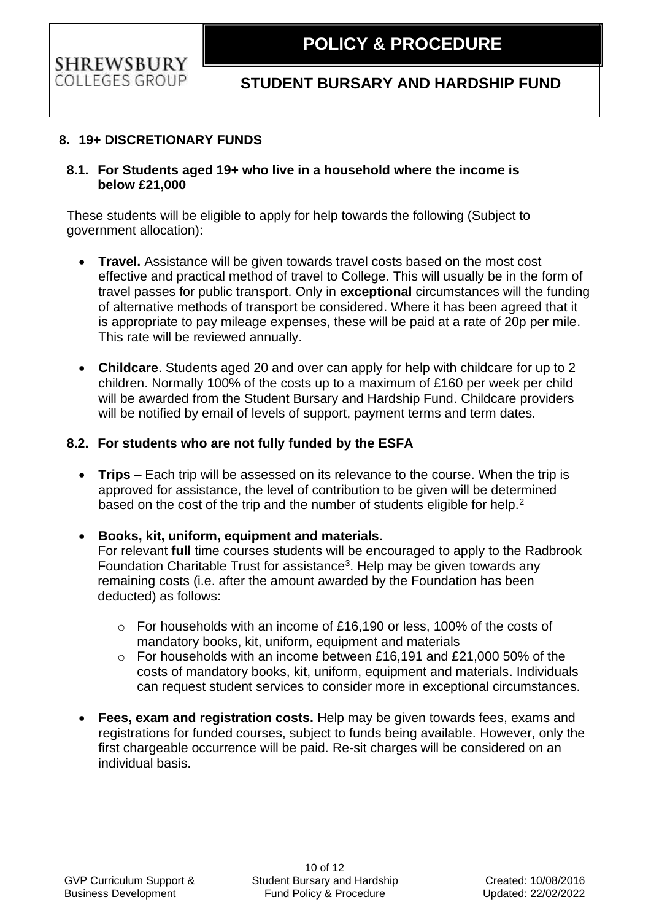## <span id="page-9-0"></span>**8. 19+ DISCRETIONARY FUNDS**

#### <span id="page-9-1"></span>**8.1. For Students aged 19+ who live in a household where the income is below £21,000**

These students will be eligible to apply for help towards the following (Subject to government allocation):

- **Travel.** Assistance will be given towards travel costs based on the most cost effective and practical method of travel to College. This will usually be in the form of travel passes for public transport. Only in **exceptional** circumstances will the funding of alternative methods of transport be considered. Where it has been agreed that it is appropriate to pay mileage expenses, these will be paid at a rate of 20p per mile. This rate will be reviewed annually.
- **Childcare**. Students aged 20 and over can apply for help with childcare for up to 2 children. Normally 100% of the costs up to a maximum of £160 per week per child will be awarded from the Student Bursary and Hardship Fund. Childcare providers will be notified by email of levels of support, payment terms and term dates.

### <span id="page-9-2"></span>**8.2. For students who are not fully funded by the ESFA**

• **Trips** – Each trip will be assessed on its relevance to the course. When the trip is approved for assistance, the level of contribution to be given will be determined based on the cost of the trip and the number of students eligible for help.<sup>2</sup>

#### • **Books, kit, uniform, equipment and materials**. For relevant **full** time courses students will be encouraged to apply to the Radbrook Foundation Charitable Trust for assistance<sup>3</sup>. Help may be given towards any remaining costs (i.e. after the amount awarded by the Foundation has been

- o For households with an income of £16,190 or less, 100% of the costs of mandatory books, kit, uniform, equipment and materials
- o For households with an income between £16,191 and £21,000 50% of the costs of mandatory books, kit, uniform, equipment and materials. Individuals can request student services to consider more in exceptional circumstances.
- **Fees, exam and registration costs.** Help may be given towards fees, exams and registrations for funded courses, subject to funds being available. However, only the first chargeable occurrence will be paid. Re-sit charges will be considered on an individual basis.

deducted) as follows: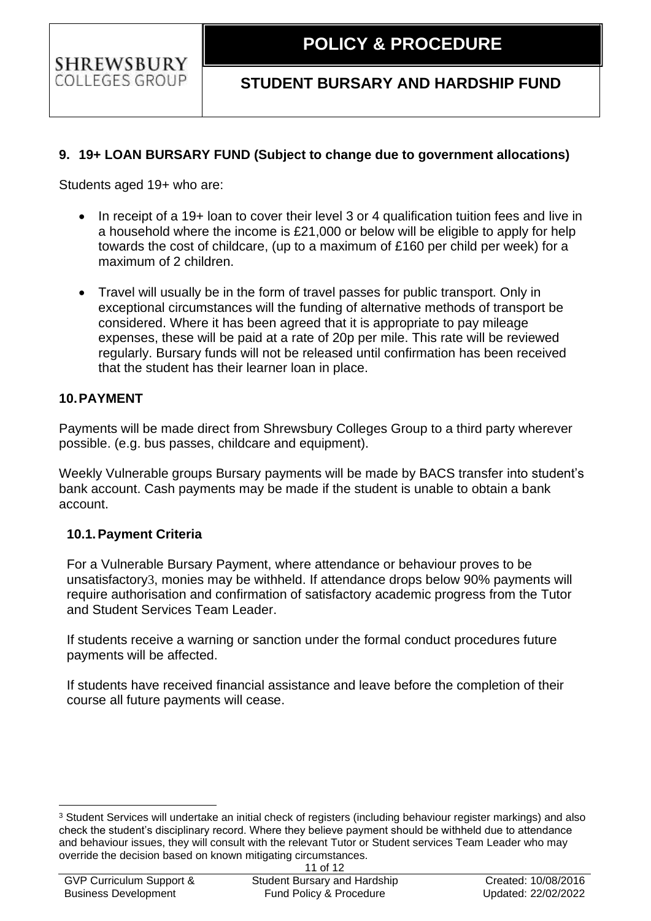## **STUDENT BURSARY AND HARDSHIP FUND**

## <span id="page-10-0"></span>**9. 19+ LOAN BURSARY FUND (Subject to change due to government allocations)**

Students aged 19+ who are:

**SHREWSBURY** COLLEGES GROUP

- In receipt of a 19+ loan to cover their level 3 or 4 qualification tuition fees and live in a household where the income is £21,000 or below will be eligible to apply for help towards the cost of childcare, (up to a maximum of £160 per child per week) for a maximum of 2 children.
- Travel will usually be in the form of travel passes for public transport. Only in exceptional circumstances will the funding of alternative methods of transport be considered. Where it has been agreed that it is appropriate to pay mileage expenses, these will be paid at a rate of 20p per mile. This rate will be reviewed regularly. Bursary funds will not be released until confirmation has been received that the student has their learner loan in place.

### <span id="page-10-1"></span>**10.PAYMENT**

Payments will be made direct from Shrewsbury Colleges Group to a third party wherever possible. (e.g. bus passes, childcare and equipment).

Weekly Vulnerable groups Bursary payments will be made by BACS transfer into student's bank account. Cash payments may be made if the student is unable to obtain a bank account.

### <span id="page-10-2"></span>**10.1.Payment Criteria**

For a Vulnerable Bursary Payment, where attendance or behaviour proves to be unsatisfactory3, monies may be withheld. If attendance drops below 90% payments will require authorisation and confirmation of satisfactory academic progress from the Tutor and Student Services Team Leader.

If students receive a warning or sanction under the formal conduct procedures future payments will be affected.

If students have received financial assistance and leave before the completion of their course all future payments will cease.

<sup>3</sup> Student Services will undertake an initial check of registers (including behaviour register markings) and also check the student's disciplinary record. Where they believe payment should be withheld due to attendance and behaviour issues, they will consult with the relevant Tutor or Student services Team Leader who may override the decision based on known mitigating circumstances.